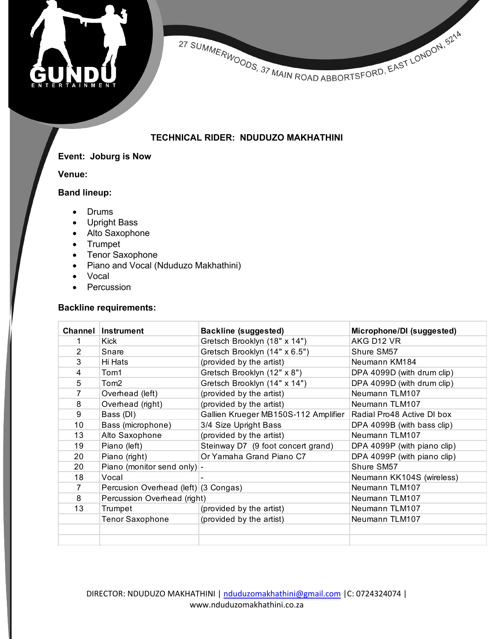



## **TECHNICAL RIDER: NDUDUZO MAKHATHINI**

## **Event: Joburg is Now**

**Venue:** 

## **Band lineup:**

- Drums
- Upright Bass
- Alto Saxophone
- Trumpet
- Tenor Saxophone
- Piano and Vocal (Nduduzo Makhathini)
- Vocal
- Percussion

#### **Backline requirements:**

| Channel        | Instrument                           | Backline (suggested)                 | Microphone/DI (suggested)   |
|----------------|--------------------------------------|--------------------------------------|-----------------------------|
|                | Kick                                 | Gretsch Brooklyn (18" x 14")         | AKG D12 VR                  |
| 2              | Snare                                | Gretsch Brooklyn (14" x 6.5")        | Shure SM57                  |
| 3              | Hi Hats                              | (provided by the artist)             | Neumann KM184               |
| 4              | Tom1                                 | Gretsch Brooklyn (12" x 8")          | DPA 4099D (with drum clip)  |
| 5              | Tom <sub>2</sub>                     | Gretsch Brooklyn (14" x 14")         | DPA 4099D (with drum clip)  |
| 7              | Overhead (left)                      | (provided by the artist)             | Neumann TLM107              |
| 8              | Overhead (right)                     | (provided by the artist)             | Neumann TLM107              |
| 9              | Bass (DI)                            | Gallien Krueger MB150S-112 Amplifier | Radial Pro48 Active DI box  |
| 10             | Bass (microphone)                    | 3/4 Size Upright Bass                | DPA 4099B (with bass clip)  |
| 13             | Alto Saxophone                       | (provided by the artist)             | Neumann TLM107              |
| 19             | Piano (left)                         | Steinway D7 (9 foot concert grand)   | DPA 4099P (with piano clip) |
| 20             | Piano (right)                        | Or Yamaha Grand Piano C7             | DPA 4099P (with piano clip) |
| 20             | Piano (monitor send only) -          |                                      | Shure SM57                  |
| 18             | Vocal                                |                                      | Neumann KK104S (wireless)   |
| $\overline{7}$ | Percusion Overhead (left) (3 Congas) |                                      | Neumann TLM107              |
| 8              | Percussion Overhead (right)          |                                      | Neumann TLM107              |
| 13             | Trumpet                              | (provided by the artist)             | Neumann TLM107              |
|                | <b>Tenor Saxophone</b>               | (provided by the artist)             | Neumann TLM107              |
|                |                                      |                                      |                             |
|                |                                      |                                      |                             |